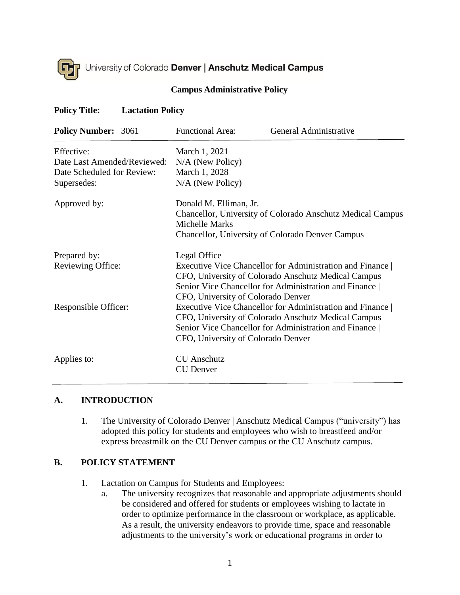

#### **Campus Administrative Policy**

#### **Policy Title: Lactation Policy**

| <b>Policy Number: 3061</b>                | <b>Functional Area:</b>                                                                                                                                                                                                               | General Administrative                                                                                                                                                   |
|-------------------------------------------|---------------------------------------------------------------------------------------------------------------------------------------------------------------------------------------------------------------------------------------|--------------------------------------------------------------------------------------------------------------------------------------------------------------------------|
| Effective:<br>Date Last Amended/Reviewed: | March 1, 2021<br>N/A (New Policy)                                                                                                                                                                                                     |                                                                                                                                                                          |
| Date Scheduled for Review:                | March 1, 2028                                                                                                                                                                                                                         |                                                                                                                                                                          |
| Supersedes:                               | N/A (New Policy)                                                                                                                                                                                                                      |                                                                                                                                                                          |
| Approved by:                              | Donald M. Elliman, Jr.<br>Chancellor, University of Colorado Anschutz Medical Campus<br>Michelle Marks                                                                                                                                |                                                                                                                                                                          |
|                                           |                                                                                                                                                                                                                                       | <b>Chancellor, University of Colorado Denver Campus</b>                                                                                                                  |
| Prepared by:<br>Reviewing Office:         | Legal Office<br><b>Executive Vice Chancellor for Administration and Finance</b><br>CFO, University of Colorado Anschutz Medical Campus<br>Senior Vice Chancellor for Administration and Finance<br>CFO, University of Colorado Denver |                                                                                                                                                                          |
| Responsible Officer:                      | CFO, University of Colorado Denver                                                                                                                                                                                                    | Executive Vice Chancellor for Administration and Finance<br>CFO, University of Colorado Anschutz Medical Campus<br>Senior Vice Chancellor for Administration and Finance |
| Applies to:                               | <b>CU</b> Anschutz<br><b>CU</b> Denver                                                                                                                                                                                                |                                                                                                                                                                          |

### **A. INTRODUCTION**

1. The University of Colorado Denver | Anschutz Medical Campus ("university") has adopted this policy for students and employees who wish to breastfeed and/or express breastmilk on the CU Denver campus or the CU Anschutz campus.

#### **B. POLICY STATEMENT**

- 1. Lactation on Campus for Students and Employees:
	- a. The university recognizes that reasonable and appropriate adjustments should be considered and offered for students or employees wishing to lactate in order to optimize performance in the classroom or workplace, as applicable. As a result, the university endeavors to provide time, space and reasonable adjustments to the university's work or educational programs in order to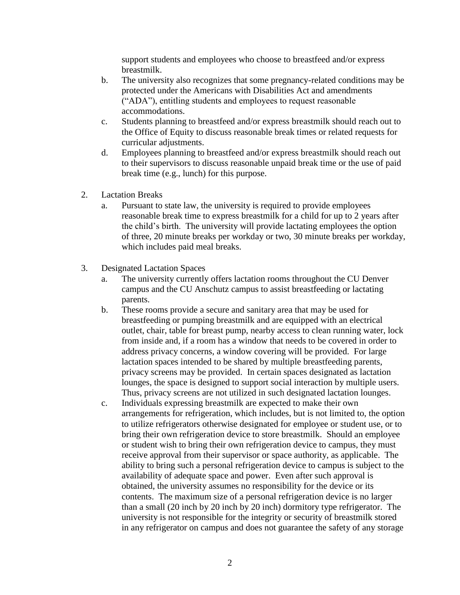support students and employees who choose to breastfeed and/or express breastmilk.

- b. The university also recognizes that some pregnancy-related conditions may be protected under the Americans with Disabilities Act and amendments ("ADA"), entitling students and employees to request reasonable accommodations.
- c. Students planning to breastfeed and/or express breastmilk should reach out to the Office of Equity to discuss reasonable break times or related requests for curricular adjustments.
- d. Employees planning to breastfeed and/or express breastmilk should reach out to their supervisors to discuss reasonable unpaid break time or the use of paid break time (e.g., lunch) for this purpose.
- 2. Lactation Breaks
	- a. Pursuant to state law, the university is required to provide employees reasonable break time to express breastmilk for a child for up to 2 years after the child's birth. The university will provide lactating employees the option of three, 20 minute breaks per workday or two, 30 minute breaks per workday, which includes paid meal breaks.
- 3. Designated Lactation Spaces
	- a. The university currently offers lactation rooms throughout the CU Denver campus and the CU Anschutz campus to assist breastfeeding or lactating parents.
	- b. These rooms provide a secure and sanitary area that may be used for breastfeeding or pumping breastmilk and are equipped with an electrical outlet, chair, table for breast pump, nearby access to clean running water, lock from inside and, if a room has a window that needs to be covered in order to address privacy concerns, a window covering will be provided. For large lactation spaces intended to be shared by multiple breastfeeding parents, privacy screens may be provided. In certain spaces designated as lactation lounges, the space is designed to support social interaction by multiple users. Thus, privacy screens are not utilized in such designated lactation lounges.
	- c. Individuals expressing breastmilk are expected to make their own arrangements for refrigeration, which includes, but is not limited to, the option to utilize refrigerators otherwise designated for employee or student use, or to bring their own refrigeration device to store breastmilk. Should an employee or student wish to bring their own refrigeration device to campus, they must receive approval from their supervisor or space authority, as applicable. The ability to bring such a personal refrigeration device to campus is subject to the availability of adequate space and power. Even after such approval is obtained, the university assumes no responsibility for the device or its contents. The maximum size of a personal refrigeration device is no larger than a small (20 inch by 20 inch by 20 inch) dormitory type refrigerator. The university is not responsible for the integrity or security of breastmilk stored in any refrigerator on campus and does not guarantee the safety of any storage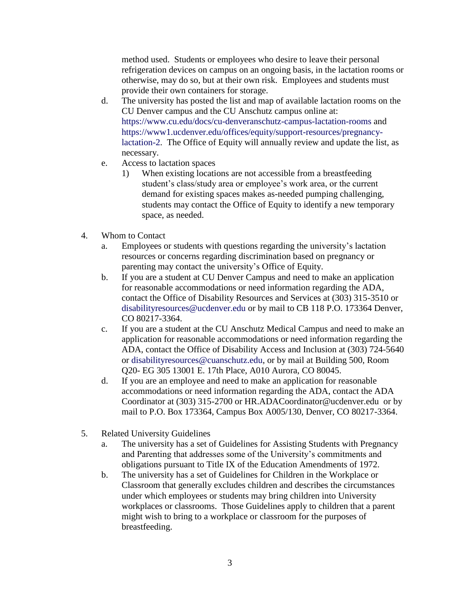method used. Students or employees who desire to leave their personal refrigeration devices on campus on an ongoing basis, in the lactation rooms or otherwise, may do so, but at their own risk. Employees and students must provide their own containers for storage.

- d. The university has posted the list and map of available lactation rooms on the CU Denver campus and the CU Anschutz campus online at: <https://www.cu.edu/docs/cu-denveranschutz-campus-lactation-rooms> and [https://www1.ucdenver.edu/offices/equity/support-resources/pregnancy](https://www1.ucdenver.edu/offices/equity/support-resources/pregnancy-lactation-2)[lactation-2.](https://www1.ucdenver.edu/offices/equity/support-resources/pregnancy-lactation-2) The Office of Equity will annually review and update the list, as necessary.
- e. Access to lactation spaces
	- 1) When existing locations are not accessible from a breastfeeding student's class/study area or employee's work area, or the current demand for existing spaces makes as-needed pumping challenging, students may contact the Office of Equity to identify a new temporary space, as needed.
- 4. Whom to Contact
	- a. Employees or students with questions regarding the university's lactation resources or concerns regarding discrimination based on pregnancy or parenting may contact the university's Office of Equity.
	- b. If you are a student at CU Denver Campus and need to make an application for reasonable accommodations or need information regarding the ADA, contact the Office of Disability Resources and Services at (303) 315-3510 or [disabilityresources@ucdenver.edu](mailto:disabilityresources@ucdenver.edu) or by mail to CB 118 P.O. 173364 Denver, CO 80217-3364.
	- c. If you are a student at the CU Anschutz Medical Campus and need to make an application for reasonable accommodations or need information regarding the ADA, contact the Office of Disability Access and Inclusion at (303) 724-5640 or [disabilityresources@cuanschutz.edu,](mailto:disabilityresources@cuanschutz.edu) or by mail at Building 500, Room Q20- EG 305 13001 E. 17th Place, A010 Aurora, CO 80045.
	- d. If you are an employee and need to make an application for reasonable accommodations or need information regarding the ADA, contact the ADA Coordinator at (303) 315-2700 or HR.ADACoordinator@ucdenver.edu or by mail to P.O. Box 173364, Campus Box A005/130, Denver, CO 80217-3364.
- 5. Related University Guidelines
	- a. The university has a set of Guidelines for Assisting Students with Pregnancy and Parenting that addresses some of the University's commitments and obligations pursuant to Title IX of the Education Amendments of 1972.
	- b. The university has a set of Guidelines for Children in the Workplace or Classroom that generally excludes children and describes the circumstances under which employees or students may bring children into University workplaces or classrooms. Those Guidelines apply to children that a parent might wish to bring to a workplace or classroom for the purposes of breastfeeding.